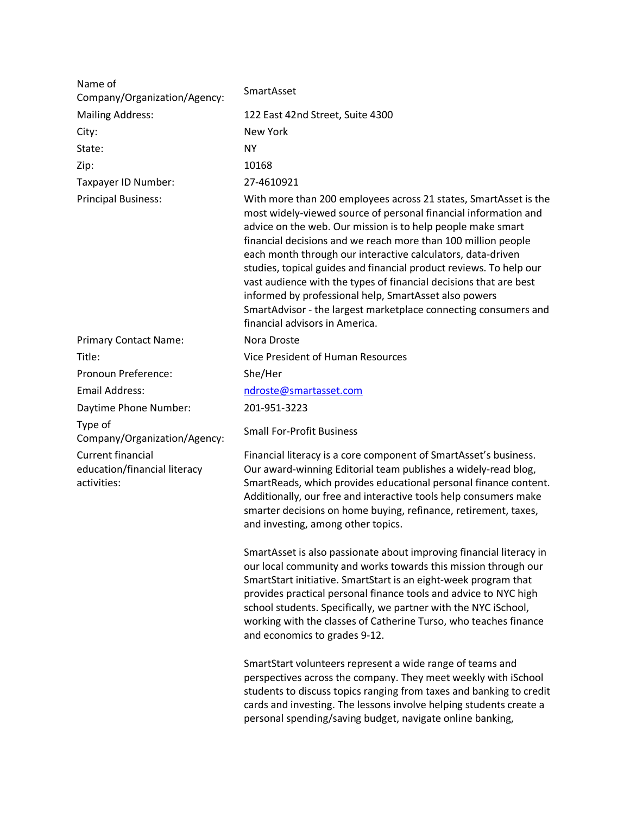| Name of<br>Company/Organization/Agency:                                 | SmartAsset                                                                                                                                                                                                                                                                                                                                                                                                                                                                                                                                                                                                                                  |
|-------------------------------------------------------------------------|---------------------------------------------------------------------------------------------------------------------------------------------------------------------------------------------------------------------------------------------------------------------------------------------------------------------------------------------------------------------------------------------------------------------------------------------------------------------------------------------------------------------------------------------------------------------------------------------------------------------------------------------|
| <b>Mailing Address:</b>                                                 | 122 East 42nd Street, Suite 4300                                                                                                                                                                                                                                                                                                                                                                                                                                                                                                                                                                                                            |
| City:                                                                   | <b>New York</b>                                                                                                                                                                                                                                                                                                                                                                                                                                                                                                                                                                                                                             |
| State:                                                                  | <b>NY</b>                                                                                                                                                                                                                                                                                                                                                                                                                                                                                                                                                                                                                                   |
| Zip:                                                                    | 10168                                                                                                                                                                                                                                                                                                                                                                                                                                                                                                                                                                                                                                       |
|                                                                         | 27-4610921                                                                                                                                                                                                                                                                                                                                                                                                                                                                                                                                                                                                                                  |
| Taxpayer ID Number:<br><b>Principal Business:</b>                       | With more than 200 employees across 21 states, SmartAsset is the<br>most widely-viewed source of personal financial information and<br>advice on the web. Our mission is to help people make smart<br>financial decisions and we reach more than 100 million people<br>each month through our interactive calculators, data-driven<br>studies, topical guides and financial product reviews. To help our<br>vast audience with the types of financial decisions that are best<br>informed by professional help, SmartAsset also powers<br>SmartAdvisor - the largest marketplace connecting consumers and<br>financial advisors in America. |
| <b>Primary Contact Name:</b>                                            | Nora Droste                                                                                                                                                                                                                                                                                                                                                                                                                                                                                                                                                                                                                                 |
| Title:                                                                  | Vice President of Human Resources                                                                                                                                                                                                                                                                                                                                                                                                                                                                                                                                                                                                           |
| Pronoun Preference:                                                     | She/Her                                                                                                                                                                                                                                                                                                                                                                                                                                                                                                                                                                                                                                     |
| <b>Email Address:</b>                                                   | ndroste@smartasset.com                                                                                                                                                                                                                                                                                                                                                                                                                                                                                                                                                                                                                      |
| Daytime Phone Number:                                                   | 201-951-3223                                                                                                                                                                                                                                                                                                                                                                                                                                                                                                                                                                                                                                |
| Type of<br>Company/Organization/Agency:                                 | <b>Small For-Profit Business</b>                                                                                                                                                                                                                                                                                                                                                                                                                                                                                                                                                                                                            |
| <b>Current financial</b><br>education/financial literacy<br>activities: | Financial literacy is a core component of SmartAsset's business.<br>Our award-winning Editorial team publishes a widely-read blog,<br>SmartReads, which provides educational personal finance content.<br>Additionally, our free and interactive tools help consumers make<br>smarter decisions on home buying, refinance, retirement, taxes,<br>and investing, among other topics.                                                                                                                                                                                                                                                         |
|                                                                         | SmartAsset is also passionate about improving financial literacy in<br>our local community and works towards this mission through our<br>SmartStart initiative. SmartStart is an eight-week program that<br>provides practical personal finance tools and advice to NYC high<br>school students. Specifically, we partner with the NYC iSchool,<br>working with the classes of Catherine Turso, who teaches finance<br>and economics to grades 9-12.                                                                                                                                                                                        |
|                                                                         | SmartStart volunteers represent a wide range of teams and<br>perspectives across the company. They meet weekly with iSchool<br>students to discuss topics ranging from taxes and banking to credit<br>cards and investing. The lessons involve helping students create a                                                                                                                                                                                                                                                                                                                                                                    |

personal spending/saving budget, navigate online banking,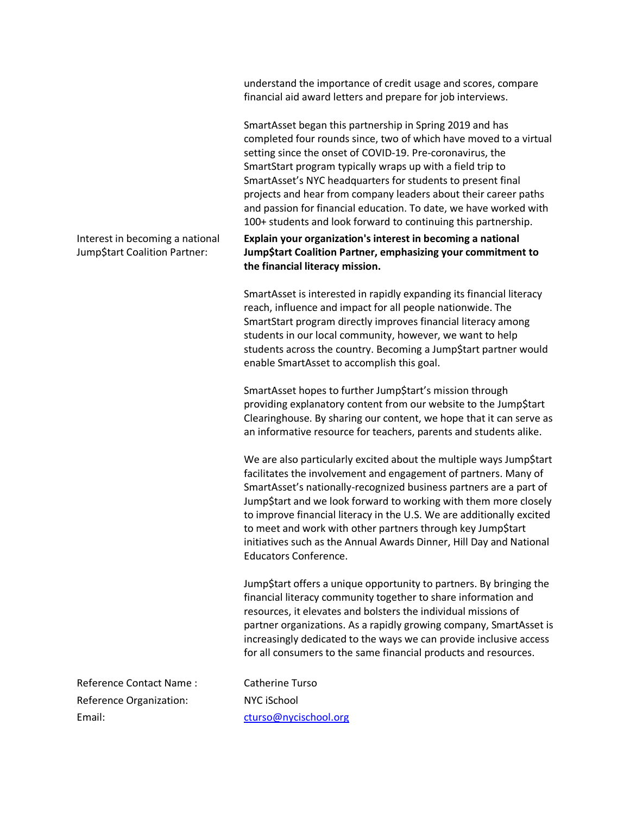understand the importance of credit usage and scores, compare financial aid award letters and prepare for job interviews.

SmartAsset began this partnership in Spring 2019 and has completed four rounds since, two of which have moved to a virtual setting since the onset of COVID-19. Pre-coronavirus, the SmartStart program typically wraps up with a field trip to SmartAsset's NYC headquarters for students to present final projects and hear from company leaders about their career paths and passion for financial education. To date, we have worked with 100+ students and look forward to continuing this partnership.

Interest in becoming a national Jump\$tart Coalition Partner:

**Explain your organization's interest in becoming a national Jump\$tart Coalition Partner, emphasizing your commitment to the financial literacy mission.**

SmartAsset is interested in rapidly expanding its financial literacy reach, influence and impact for all people nationwide. The SmartStart program directly improves financial literacy among students in our local community, however, we want to help students across the country. Becoming a Jump\$tart partner would enable SmartAsset to accomplish this goal.

SmartAsset hopes to further Jump\$tart's mission through providing explanatory content from our website to the Jump\$tart Clearinghouse. By sharing our content, we hope that it can serve as an informative resource for teachers, parents and students alike.

We are also particularly excited about the multiple ways Jump\$tart facilitates the involvement and engagement of partners. Many of SmartAsset's nationally-recognized business partners are a part of Jump\$tart and we look forward to working with them more closely to improve financial literacy in the U.S. We are additionally excited to meet and work with other partners through key Jump\$tart initiatives such as the Annual Awards Dinner, Hill Day and National Educators Conference.

Jump\$tart offers a unique opportunity to partners. By bringing the financial literacy community together to share information and resources, it elevates and bolsters the individual missions of partner organizations. As a rapidly growing company, SmartAsset is increasingly dedicated to the ways we can provide inclusive access for all consumers to the same financial products and resources.

Reference Contact Name : Catherine Turso Reference Organization: NYC iSchool Email: cturso@nycischool.org